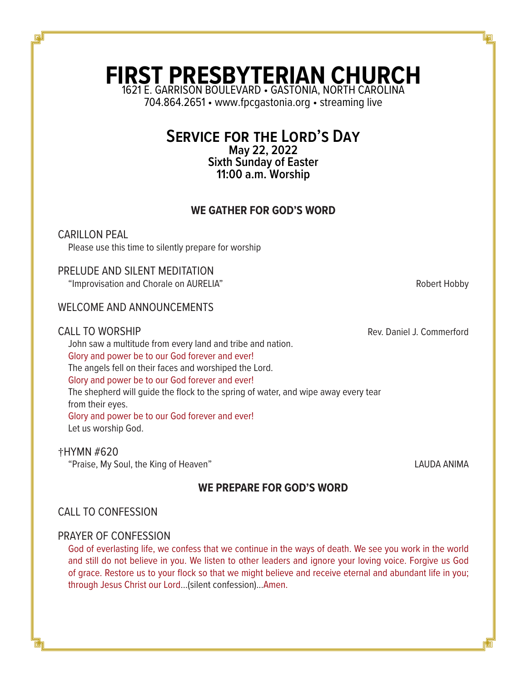# **FIRST PRESBYTERIAN CHURCH** 1621 E. GARRISON BOULEVARD • GASTONIA, NORTH CAROLINA

704.864.2651 • www.fpcgastonia.org • streaming live

# **Service for the Lord's Day**

**May 22, 2022 Sixth Sunday of Easter 11:00 a.m. Worship**

# **WE GATHER FOR GOD'S WORD**

CARILLON PEAL Please use this time to silently prepare for worship

# PRELUDE AND SILENT MEDITATION

"Improvisation and Chorale on AURELIA" **Automatic State of August 2018** Robert Hobby

# WELCOME AND ANNOUNCEMENTS

CALL TO WORSHIP **Rev. Daniel J. Commerford** 

John saw a multitude from every land and tribe and nation. Glory and power be to our God forever and ever! The angels fell on their faces and worshiped the Lord. Glory and power be to our God forever and ever! The shepherd will guide the flock to the spring of water, and wipe away every tear from their eyes. Glory and power be to our God forever and ever! Let us worship God.

### †HYMN #620

"Praise, My Soul, the King of Heaven" LAUDA ANIMA

# **WE PREPARE FOR GOD'S WORD**

# CALL TO CONFESSION

# PRAYER OF CONFESSION

God of everlasting life, we confess that we continue in the ways of death. We see you work in the world and still do not believe in you. We listen to other leaders and ignore your loving voice. Forgive us God of grace. Restore us to your flock so that we might believe and receive eternal and abundant life in you; through Jesus Christ our Lord…(silent confession)...Amen.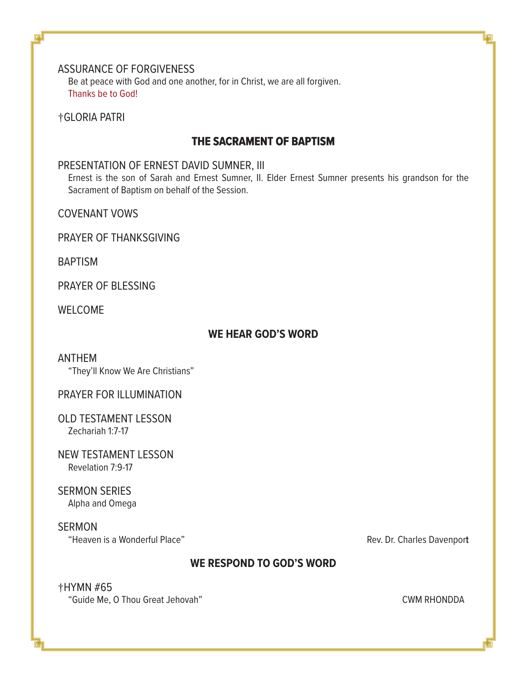# ASSURANCE OF FORGIVENESS

Be at peace with God and one another, for in Christ, we are all forgiven. Thanks be to God!

†GLORIA PATRI

# **THE SACRAMENT OF BAPTISM**

# PRESENTATION OF ERNEST DAVID SUMNER, III

Ernest is the son of Sarah and Ernest Sumner, II. Elder Ernest Sumner presents his grandson for the Sacrament of Baptism on behalf of the Session.

COVENANT VOWS

PRAYER OF THANKSGIVING

**BAPTISM** 

PRAYER OF BLESSING

WELCOME

# **WE HEAR GOD'S WORD**

# ANTHEM

"They'll Know We Are Christians"

# PRAYER FOR ILLUMINATION

OLD TESTAMENT LESSON Zechariah 1:7-17

NEW TESTAMENT LESSON Revelation 7:9-17

SERMON SERIES Alpha and Omega

SERMON "Heaven is a Wonderful Place" Rev. Dr. Charles Davenpor**t**

# **WE RESPOND TO GOD'S WORD**

# †HYMN #65 "Guide Me, O Thou Great Jehovah" **CWM RHONDDA**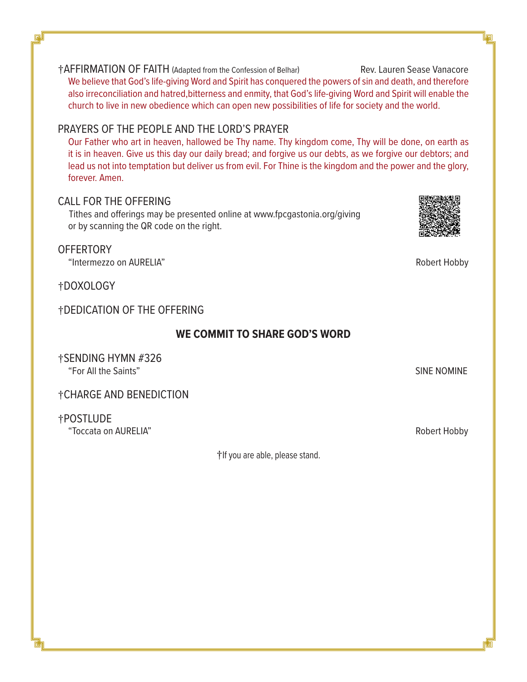†AFFIRMATION OF FAITH (Adapted from the Confession of Belhar) Rev. Lauren Sease Vanacore We believe that God's life-giving Word and Spirit has conquered the powers of sin and death, and therefore also irreconciliation and hatred,bitterness and enmity, that God's life-giving Word and Spirit will enable the church to live in new obedience which can open new possibilities of life for society and the world.

# PRAYERS OF THE PEOPLE AND THE LORD'S PRAYER

Our Father who art in heaven, hallowed be Thy name. Thy kingdom come, Thy will be done, on earth as it is in heaven. Give us this day our daily bread; and forgive us our debts, as we forgive our debtors; and lead us not into temptation but deliver us from evil. For Thine is the kingdom and the power and the glory, forever. Amen.

# CALL FOR THE OFFERING

 Tithes and offerings may be presented online at www.fpcgastonia.org/giving or by scanning the QR code on the right.

# **OFFERTORY**

"Intermezzo on AURELIA" Robert Hobby

†DOXOLOGY

# †DEDICATION OF THE OFFERING

# **WE COMMIT TO SHARE GOD'S WORD**

†SENDING HYMN #326 "For All the Saints" SINE NOMINE

# †CHARGE AND BENEDICTION

†POSTLUDE

"Toccata on AURELIA" Robert Hobby

†If you are able, please stand.

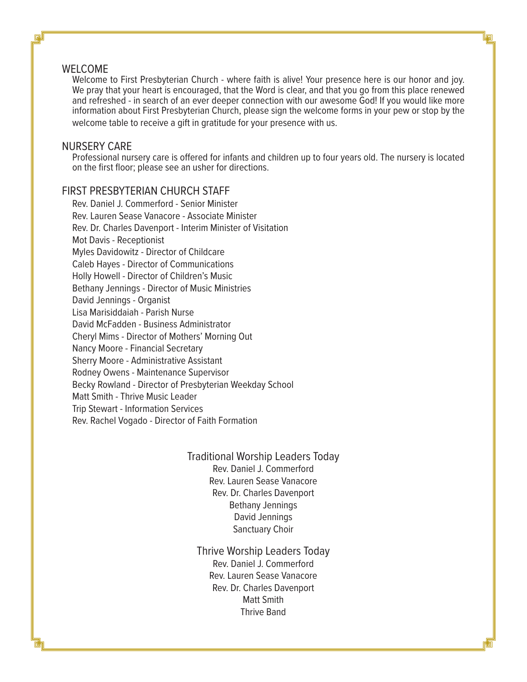#### WELCOME

Welcome to First Presbyterian Church - where faith is alive! Your presence here is our honor and joy. We pray that your heart is encouraged, that the Word is clear, and that you go from this place renewed and refreshed - in search of an ever deeper connection with our awesome God! If you would like more information about First Presbyterian Church, please sign the welcome forms in your pew or stop by the welcome table to receive a gift in gratitude for your presence with us.

#### NURSERY CARE

Professional nursery care is offered for infants and children up to four years old. The nursery is located on the first floor; please see an usher for directions.

# FIRST PRESBYTERIAN CHURCH STAFF

Rev. Daniel J. Commerford - Senior Minister Rev. Lauren Sease Vanacore - Associate Minister Rev. Dr. Charles Davenport - Interim Minister of Visitation Mot Davis - Receptionist Myles Davidowitz - Director of Childcare Caleb Hayes - Director of Communications Holly Howell - Director of Children's Music Bethany Jennings - Director of Music Ministries David Jennings - Organist Lisa Marisiddaiah - Parish Nurse David McFadden - Business Administrator Cheryl Mims - Director of Mothers' Morning Out Nancy Moore - Financial Secretary Sherry Moore - Administrative Assistant Rodney Owens - Maintenance Supervisor Becky Rowland - Director of Presbyterian Weekday School Matt Smith - Thrive Music Leader Trip Stewart - Information Services Rev. Rachel Vogado - Director of Faith Formation

## Traditional Worship Leaders Today Rev. Daniel J. Commerford Rev. Lauren Sease Vanacore Rev. Dr. Charles Davenport Bethany Jennings David Jennings Sanctuary Choir

Thrive Worship Leaders Today Rev. Daniel J. Commerford Rev. Lauren Sease Vanacore Rev. Dr. Charles Davenport Matt Smith Thrive Band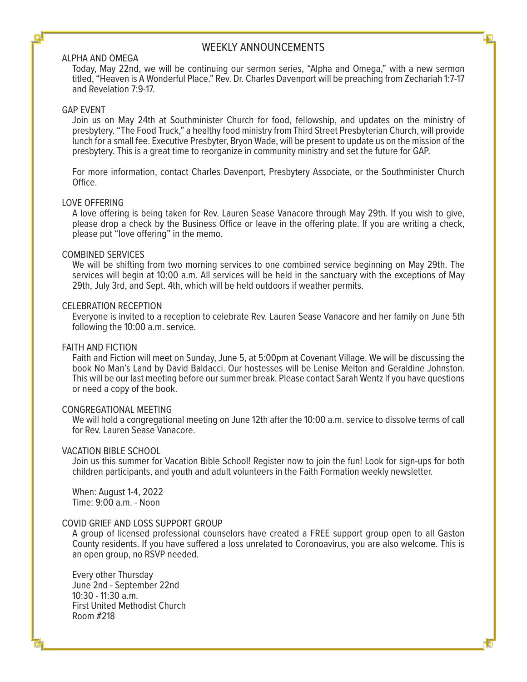### WEEKLY ANNOUNCEMENTS

#### ALPHA AND OMEGA

Today, May 22nd, we will be continuing our sermon series, "Alpha and Omega," with a new sermon titled, "Heaven is A Wonderful Place." Rev. Dr. Charles Davenport will be preaching from Zechariah 1:7-17 and Revelation 7:9-17.

#### GAP EVENT

Join us on May 24th at Southminister Church for food, fellowship, and updates on the ministry of presbytery. "The Food Truck," a healthy food ministry from Third Street Presbyterian Church, will provide lunch for a small fee. Executive Presbyter, Bryon Wade, will be present to update us on the mission of the presbytery. This is a great time to reorganize in community ministry and set the future for GAP.

For more information, contact Charles Davenport, Presbytery Associate, or the Southminister Church Office.

#### LOVE OFFERING

A love offering is being taken for Rev. Lauren Sease Vanacore through May 29th. If you wish to give, please drop a check by the Business Office or leave in the offering plate. If you are writing a check, please put "love offering" in the memo.

#### COMBINED SERVICES

We will be shifting from two morning services to one combined service beginning on May 29th. The services will begin at 10:00 a.m. All services will be held in the sanctuary with the exceptions of May 29th, July 3rd, and Sept. 4th, which will be held outdoors if weather permits.

#### CELEBRATION RECEPTION

Everyone is invited to a reception to celebrate Rev. Lauren Sease Vanacore and her family on June 5th following the 10:00 a.m. service.

#### FAITH AND FICTION

Faith and Fiction will meet on Sunday, June 5, at 5:00pm at Covenant Village. We will be discussing the book No Man's Land by David Baldacci. Our hostesses will be Lenise Melton and Geraldine Johnston. This will be our last meeting before our summer break. Please contact Sarah Wentz if you have questions or need a copy of the book.

#### CONGREGATIONAL MEETING

We will hold a congregational meeting on June 12th after the 10:00 a.m. service to dissolve terms of call for Rev. Lauren Sease Vanacore.

#### VACATION BIBLE SCHOOL

Join us this summer for Vacation Bible School! Register now to join the fun! Look for sign-ups for both children participants, and youth and adult volunteers in the Faith Formation weekly newsletter.

When: August 1-4, 2022 Time: 9:00 a.m. - Noon

#### COVID GRIEF AND LOSS SUPPORT GROUP

A group of licensed professional counselors have created a FREE support group open to all Gaston County residents. If you have suffered a loss unrelated to Coronoavirus, you are also welcome. This is an open group, no RSVP needed.

Every other Thursday June 2nd - September 22nd  $10:30 - 11:30$  a.m. First United Methodist Church Room #218